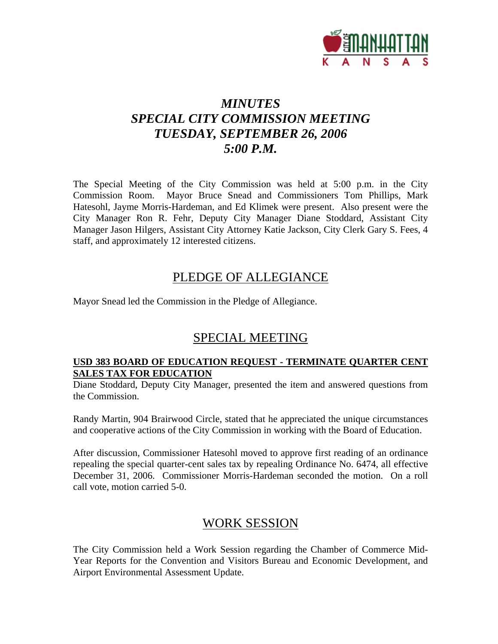

# *MINUTES SPECIAL CITY COMMISSION MEETING TUESDAY, SEPTEMBER 26, 2006 5:00 P.M.*

The Special Meeting of the City Commission was held at 5:00 p.m. in the City Commission Room. Mayor Bruce Snead and Commissioners Tom Phillips, Mark Hatesohl, Jayme Morris-Hardeman, and Ed Klimek were present. Also present were the City Manager Ron R. Fehr, Deputy City Manager Diane Stoddard, Assistant City Manager Jason Hilgers, Assistant City Attorney Katie Jackson, City Clerk Gary S. Fees, 4 staff, and approximately 12 interested citizens.

## PLEDGE OF ALLEGIANCE

Mayor Snead led the Commission in the Pledge of Allegiance.

## SPECIAL MEETING

### **USD 383 BOARD OF EDUCATION REQUEST - TERMINATE QUARTER CENT SALES TAX FOR EDUCATION**

Diane Stoddard, Deputy City Manager, presented the item and answered questions from the Commission.

Randy Martin, 904 Brairwood Circle, stated that he appreciated the unique circumstances and cooperative actions of the City Commission in working with the Board of Education.

After discussion, Commissioner Hatesohl moved to approve first reading of an ordinance repealing the special quarter-cent sales tax by repealing Ordinance No. 6474, all effective December 31, 2006. Commissioner Morris-Hardeman seconded the motion. On a roll call vote, motion carried 5-0.

## WORK SESSION

The City Commission held a Work Session regarding the Chamber of Commerce Mid-Year Reports for the Convention and Visitors Bureau and Economic Development, and Airport Environmental Assessment Update.